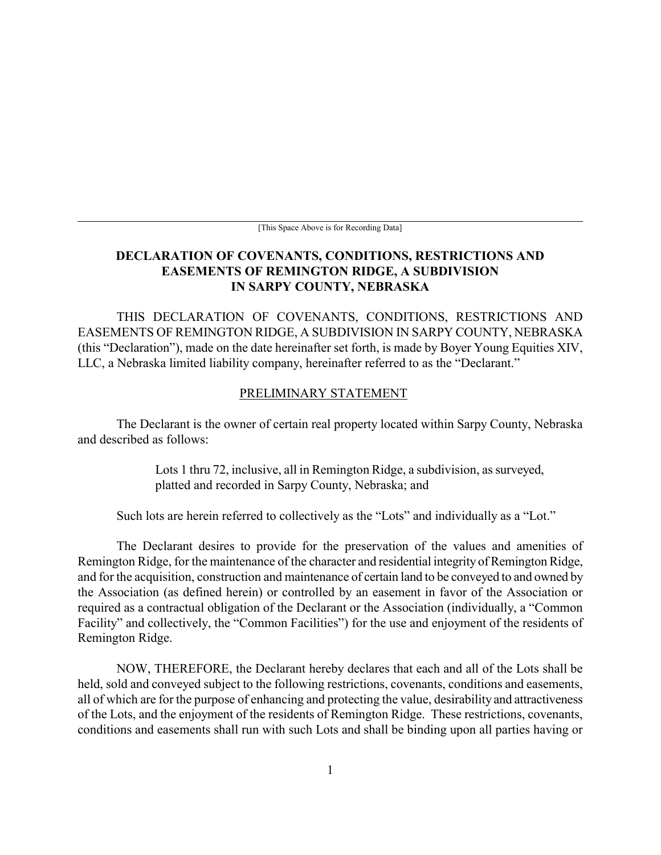[This Space Above is for Recording Data]

### **DECLARATION OF COVENANTS, CONDITIONS, RESTRICTIONS AND EASEMENTS OF REMINGTON RIDGE, A SUBDIVISION IN SARPY COUNTY, NEBRASKA**

THIS DECLARATION OF COVENANTS, CONDITIONS, RESTRICTIONS AND EASEMENTS OF REMINGTON RIDGE, A SUBDIVISION IN SARPY COUNTY, NEBRASKA (this "Declaration"), made on the date hereinafter set forth, is made by Boyer Young Equities XIV, LLC, a Nebraska limited liability company, hereinafter referred to as the "Declarant."

#### PRELIMINARY STATEMENT

The Declarant is the owner of certain real property located within Sarpy County, Nebraska and described as follows:

> Lots 1 thru 72, inclusive, all in Remington Ridge, a subdivision, as surveyed, platted and recorded in Sarpy County, Nebraska; and

Such lots are herein referred to collectively as the "Lots" and individually as a "Lot."

The Declarant desires to provide for the preservation of the values and amenities of Remington Ridge, for the maintenance of the character and residential integrity of Remington Ridge, and for the acquisition, construction and maintenance of certain land to be conveyed to and owned by the Association (as defined herein) or controlled by an easement in favor of the Association or required as a contractual obligation of the Declarant or the Association (individually, a "Common Facility" and collectively, the "Common Facilities") for the use and enjoyment of the residents of Remington Ridge.

NOW, THEREFORE, the Declarant hereby declares that each and all of the Lots shall be held, sold and conveyed subject to the following restrictions, covenants, conditions and easements, all of which are for the purpose of enhancing and protecting the value, desirability and attractiveness of the Lots, and the enjoyment of the residents of Remington Ridge. These restrictions, covenants, conditions and easements shall run with such Lots and shall be binding upon all parties having or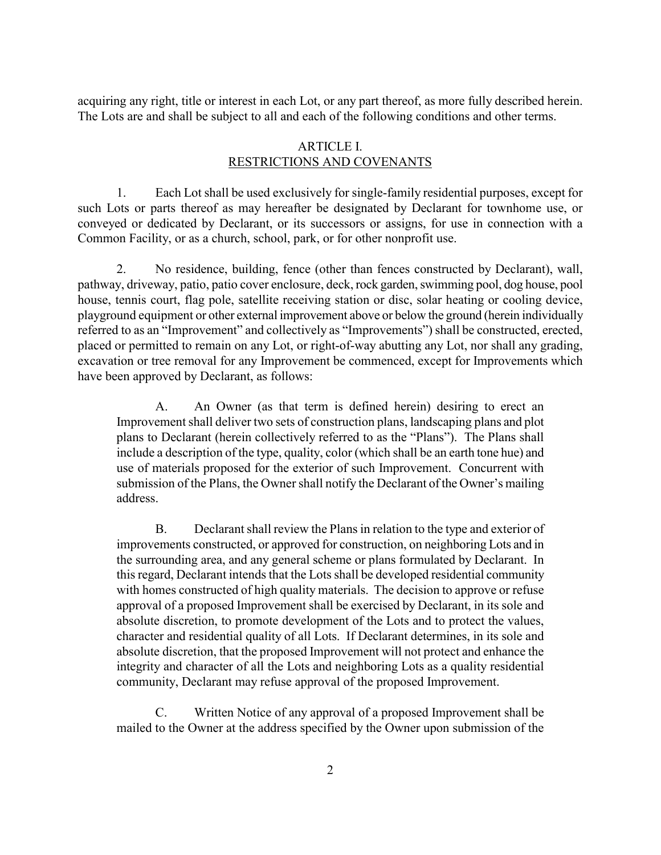acquiring any right, title or interest in each Lot, or any part thereof, as more fully described herein. The Lots are and shall be subject to all and each of the following conditions and other terms.

### ARTICLE I. RESTRICTIONS AND COVENANTS

1. Each Lot shall be used exclusively for single-family residential purposes, except for such Lots or parts thereof as may hereafter be designated by Declarant for townhome use, or conveyed or dedicated by Declarant, or its successors or assigns, for use in connection with a Common Facility, or as a church, school, park, or for other nonprofit use.

2. No residence, building, fence (other than fences constructed by Declarant), wall, pathway, driveway, patio, patio cover enclosure, deck, rock garden, swimming pool, dog house, pool house, tennis court, flag pole, satellite receiving station or disc, solar heating or cooling device, playground equipment or other external improvement above or below the ground (herein individually referred to as an "Improvement" and collectively as "Improvements") shall be constructed, erected, placed or permitted to remain on any Lot, or right-of-way abutting any Lot, nor shall any grading, excavation or tree removal for any Improvement be commenced, except for Improvements which have been approved by Declarant, as follows:

A. An Owner (as that term is defined herein) desiring to erect an Improvement shall deliver two sets of construction plans, landscaping plans and plot plans to Declarant (herein collectively referred to as the "Plans"). The Plans shall include a description of the type, quality, color (which shall be an earth tone hue) and use of materials proposed for the exterior of such Improvement. Concurrent with submission of the Plans, the Owner shall notify the Declarant of the Owner's mailing address.

B. Declarant shall review the Plans in relation to the type and exterior of improvements constructed, or approved for construction, on neighboring Lots and in the surrounding area, and any general scheme or plans formulated by Declarant. In this regard, Declarant intends that the Lots shall be developed residential community with homes constructed of high quality materials. The decision to approve or refuse approval of a proposed Improvement shall be exercised by Declarant, in its sole and absolute discretion, to promote development of the Lots and to protect the values, character and residential quality of all Lots. If Declarant determines, in its sole and absolute discretion, that the proposed Improvement will not protect and enhance the integrity and character of all the Lots and neighboring Lots as a quality residential community, Declarant may refuse approval of the proposed Improvement.

C. Written Notice of any approval of a proposed Improvement shall be mailed to the Owner at the address specified by the Owner upon submission of the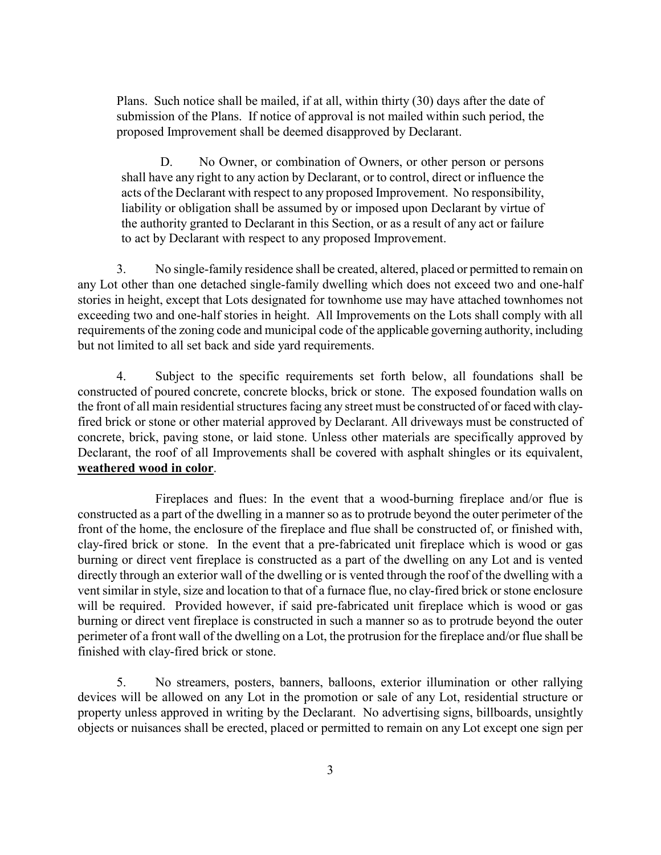Plans. Such notice shall be mailed, if at all, within thirty (30) days after the date of submission of the Plans. If notice of approval is not mailed within such period, the proposed Improvement shall be deemed disapproved by Declarant.

D. No Owner, or combination of Owners, or other person or persons shall have any right to any action by Declarant, or to control, direct or influence the acts of the Declarant with respect to any proposed Improvement. No responsibility, liability or obligation shall be assumed by or imposed upon Declarant by virtue of the authority granted to Declarant in this Section, or as a result of any act or failure to act by Declarant with respect to any proposed Improvement.

3. No single-family residence shall be created, altered, placed or permitted to remain on any Lot other than one detached single-family dwelling which does not exceed two and one-half stories in height, except that Lots designated for townhome use may have attached townhomes not exceeding two and one-half stories in height. All Improvements on the Lots shall comply with all requirements of the zoning code and municipal code of the applicable governing authority, including but not limited to all set back and side yard requirements.

4. Subject to the specific requirements set forth below, all foundations shall be constructed of poured concrete, concrete blocks, brick or stone. The exposed foundation walls on the front of all main residential structures facing any street must be constructed of or faced with clayfired brick or stone or other material approved by Declarant. All driveways must be constructed of concrete, brick, paving stone, or laid stone. Unless other materials are specifically approved by Declarant, the roof of all Improvements shall be covered with asphalt shingles or its equivalent, **weathered wood in color**.

Fireplaces and flues: In the event that a wood-burning fireplace and/or flue is constructed as a part of the dwelling in a manner so as to protrude beyond the outer perimeter of the front of the home, the enclosure of the fireplace and flue shall be constructed of, or finished with, clay-fired brick or stone. In the event that a pre-fabricated unit fireplace which is wood or gas burning or direct vent fireplace is constructed as a part of the dwelling on any Lot and is vented directly through an exterior wall of the dwelling or is vented through the roof of the dwelling with a vent similar in style, size and location to that of a furnace flue, no clay-fired brick or stone enclosure will be required. Provided however, if said pre-fabricated unit fireplace which is wood or gas burning or direct vent fireplace is constructed in such a manner so as to protrude beyond the outer perimeter of a front wall of the dwelling on a Lot, the protrusion for the fireplace and/or flue shall be finished with clay-fired brick or stone.

5. No streamers, posters, banners, balloons, exterior illumination or other rallying devices will be allowed on any Lot in the promotion or sale of any Lot, residential structure or property unless approved in writing by the Declarant. No advertising signs, billboards, unsightly objects or nuisances shall be erected, placed or permitted to remain on any Lot except one sign per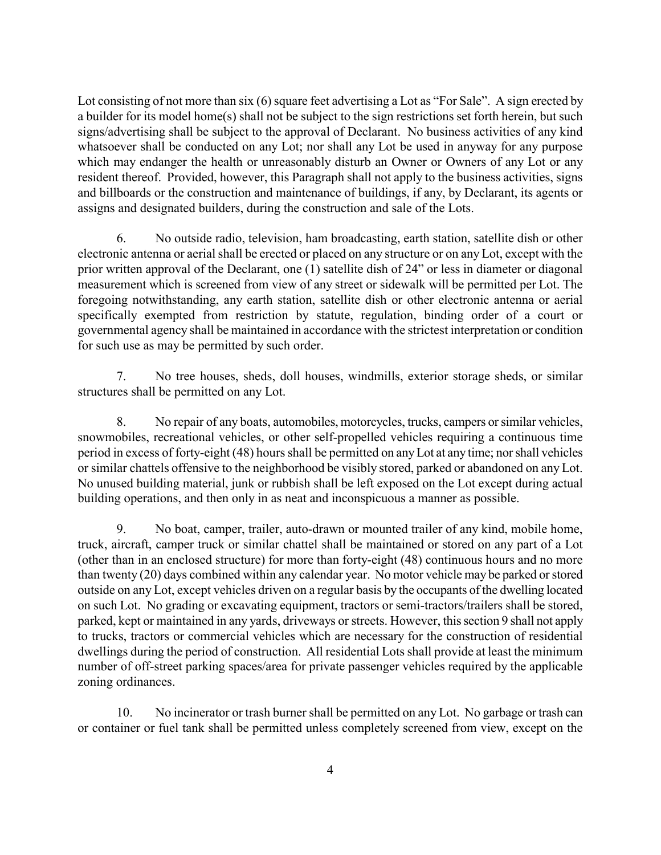Lot consisting of not more than six (6) square feet advertising a Lot as "For Sale". A sign erected by a builder for its model home(s) shall not be subject to the sign restrictions set forth herein, but such signs/advertising shall be subject to the approval of Declarant. No business activities of any kind whatsoever shall be conducted on any Lot; nor shall any Lot be used in anyway for any purpose which may endanger the health or unreasonably disturb an Owner or Owners of any Lot or any resident thereof. Provided, however, this Paragraph shall not apply to the business activities, signs and billboards or the construction and maintenance of buildings, if any, by Declarant, its agents or assigns and designated builders, during the construction and sale of the Lots.

6. No outside radio, television, ham broadcasting, earth station, satellite dish or other electronic antenna or aerial shall be erected or placed on any structure or on any Lot, except with the prior written approval of the Declarant, one (1) satellite dish of 24" or less in diameter or diagonal measurement which is screened from view of any street or sidewalk will be permitted per Lot. The foregoing notwithstanding, any earth station, satellite dish or other electronic antenna or aerial specifically exempted from restriction by statute, regulation, binding order of a court or governmental agency shall be maintained in accordance with the strictest interpretation or condition for such use as may be permitted by such order.

7. No tree houses, sheds, doll houses, windmills, exterior storage sheds, or similar structures shall be permitted on any Lot.

8. No repair of any boats, automobiles, motorcycles, trucks, campers or similar vehicles, snowmobiles, recreational vehicles, or other self-propelled vehicles requiring a continuous time period in excess of forty-eight (48) hours shall be permitted on any Lot at any time; nor shall vehicles or similar chattels offensive to the neighborhood be visibly stored, parked or abandoned on any Lot. No unused building material, junk or rubbish shall be left exposed on the Lot except during actual building operations, and then only in as neat and inconspicuous a manner as possible.

9. No boat, camper, trailer, auto-drawn or mounted trailer of any kind, mobile home, truck, aircraft, camper truck or similar chattel shall be maintained or stored on any part of a Lot (other than in an enclosed structure) for more than forty-eight (48) continuous hours and no more than twenty (20) days combined within any calendar year. No motor vehicle may be parked or stored outside on any Lot, except vehicles driven on a regular basis by the occupants of the dwelling located on such Lot. No grading or excavating equipment, tractors or semi-tractors/trailers shall be stored, parked, kept or maintained in any yards, driveways or streets. However, this section 9 shall not apply to trucks, tractors or commercial vehicles which are necessary for the construction of residential dwellings during the period of construction. All residential Lots shall provide at least the minimum number of off-street parking spaces/area for private passenger vehicles required by the applicable zoning ordinances.

10. No incinerator or trash burner shall be permitted on any Lot. No garbage or trash can or container or fuel tank shall be permitted unless completely screened from view, except on the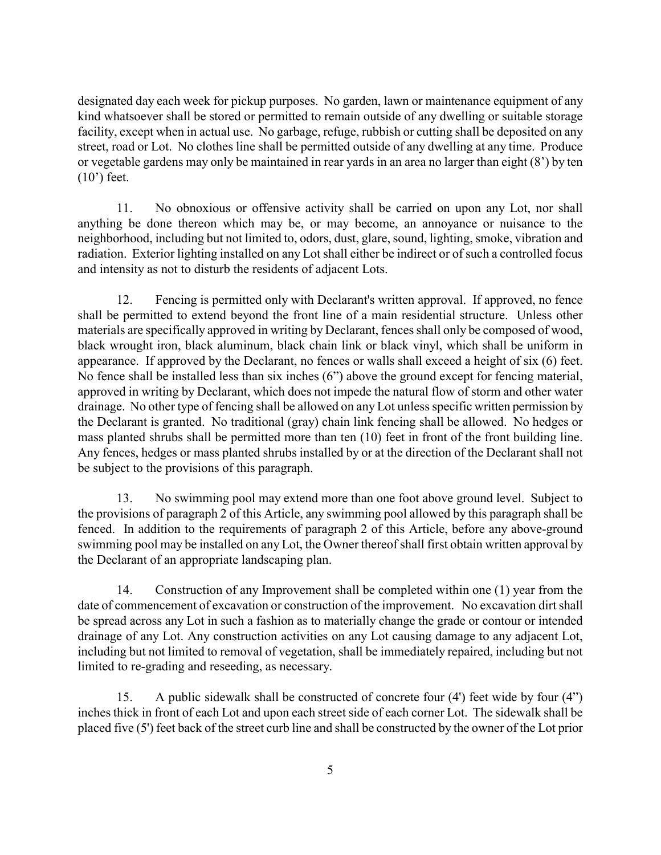designated day each week for pickup purposes. No garden, lawn or maintenance equipment of any kind whatsoever shall be stored or permitted to remain outside of any dwelling or suitable storage facility, except when in actual use. No garbage, refuge, rubbish or cutting shall be deposited on any street, road or Lot. No clothes line shall be permitted outside of any dwelling at any time. Produce or vegetable gardens may only be maintained in rear yards in an area no larger than eight (8') by ten (10') feet.

11. No obnoxious or offensive activity shall be carried on upon any Lot, nor shall anything be done thereon which may be, or may become, an annoyance or nuisance to the neighborhood, including but not limited to, odors, dust, glare, sound, lighting, smoke, vibration and radiation. Exterior lighting installed on any Lot shall either be indirect or of such a controlled focus and intensity as not to disturb the residents of adjacent Lots.

12. Fencing is permitted only with Declarant's written approval. If approved, no fence shall be permitted to extend beyond the front line of a main residential structure. Unless other materials are specifically approved in writing by Declarant, fences shall only be composed of wood, black wrought iron, black aluminum, black chain link or black vinyl, which shall be uniform in appearance. If approved by the Declarant, no fences or walls shall exceed a height of six (6) feet. No fence shall be installed less than six inches (6") above the ground except for fencing material, approved in writing by Declarant, which does not impede the natural flow of storm and other water drainage. No other type of fencing shall be allowed on any Lot unless specific written permission by the Declarant is granted. No traditional (gray) chain link fencing shall be allowed. No hedges or mass planted shrubs shall be permitted more than ten (10) feet in front of the front building line. Any fences, hedges or mass planted shrubs installed by or at the direction of the Declarant shall not be subject to the provisions of this paragraph.

13. No swimming pool may extend more than one foot above ground level. Subject to the provisions of paragraph 2 of this Article, any swimming pool allowed by this paragraph shall be fenced. In addition to the requirements of paragraph 2 of this Article, before any above-ground swimming pool may be installed on any Lot, the Owner thereof shall first obtain written approval by the Declarant of an appropriate landscaping plan.

14. Construction of any Improvement shall be completed within one (1) year from the date of commencement of excavation or construction of the improvement. No excavation dirt shall be spread across any Lot in such a fashion as to materially change the grade or contour or intended drainage of any Lot. Any construction activities on any Lot causing damage to any adjacent Lot, including but not limited to removal of vegetation, shall be immediately repaired, including but not limited to re-grading and reseeding, as necessary.

15. A public sidewalk shall be constructed of concrete four (4') feet wide by four (4") inches thick in front of each Lot and upon each street side of each corner Lot. The sidewalk shall be placed five (5') feet back of the street curb line and shall be constructed by the owner of the Lot prior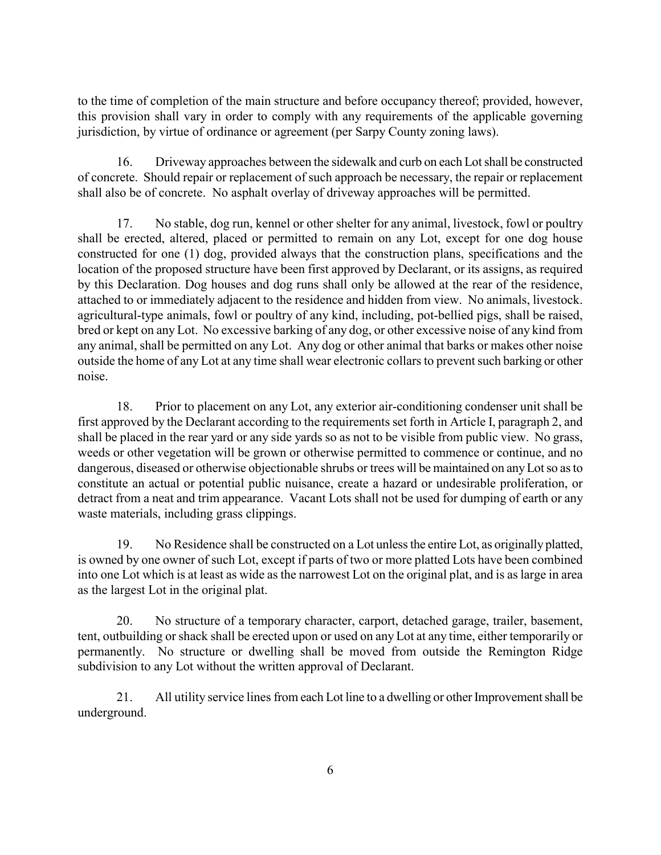to the time of completion of the main structure and before occupancy thereof; provided, however, this provision shall vary in order to comply with any requirements of the applicable governing jurisdiction, by virtue of ordinance or agreement (per Sarpy County zoning laws).

16. Driveway approaches between the sidewalk and curb on each Lot shall be constructed of concrete. Should repair or replacement of such approach be necessary, the repair or replacement shall also be of concrete. No asphalt overlay of driveway approaches will be permitted.

17. No stable, dog run, kennel or other shelter for any animal, livestock, fowl or poultry shall be erected, altered, placed or permitted to remain on any Lot, except for one dog house constructed for one (1) dog, provided always that the construction plans, specifications and the location of the proposed structure have been first approved by Declarant, or its assigns, as required by this Declaration. Dog houses and dog runs shall only be allowed at the rear of the residence, attached to or immediately adjacent to the residence and hidden from view. No animals, livestock. agricultural-type animals, fowl or poultry of any kind, including, pot-bellied pigs, shall be raised, bred or kept on any Lot. No excessive barking of any dog, or other excessive noise of any kind from any animal, shall be permitted on any Lot. Any dog or other animal that barks or makes other noise outside the home of any Lot at any time shall wear electronic collars to prevent such barking or other noise.

18. Prior to placement on any Lot, any exterior air-conditioning condenser unit shall be first approved by the Declarant according to the requirements set forth in Article I, paragraph 2, and shall be placed in the rear yard or any side yards so as not to be visible from public view. No grass, weeds or other vegetation will be grown or otherwise permitted to commence or continue, and no dangerous, diseased or otherwise objectionable shrubs or trees will be maintained on any Lot so as to constitute an actual or potential public nuisance, create a hazard or undesirable proliferation, or detract from a neat and trim appearance. Vacant Lots shall not be used for dumping of earth or any waste materials, including grass clippings.

19. No Residence shall be constructed on a Lot unless the entire Lot, as originally platted, is owned by one owner of such Lot, except if parts of two or more platted Lots have been combined into one Lot which is at least as wide as the narrowest Lot on the original plat, and is as large in area as the largest Lot in the original plat.

20. No structure of a temporary character, carport, detached garage, trailer, basement, tent, outbuilding or shack shall be erected upon or used on any Lot at any time, either temporarily or permanently. No structure or dwelling shall be moved from outside the Remington Ridge subdivision to any Lot without the written approval of Declarant.

21. All utility service lines from each Lot line to a dwelling or other Improvement shall be underground.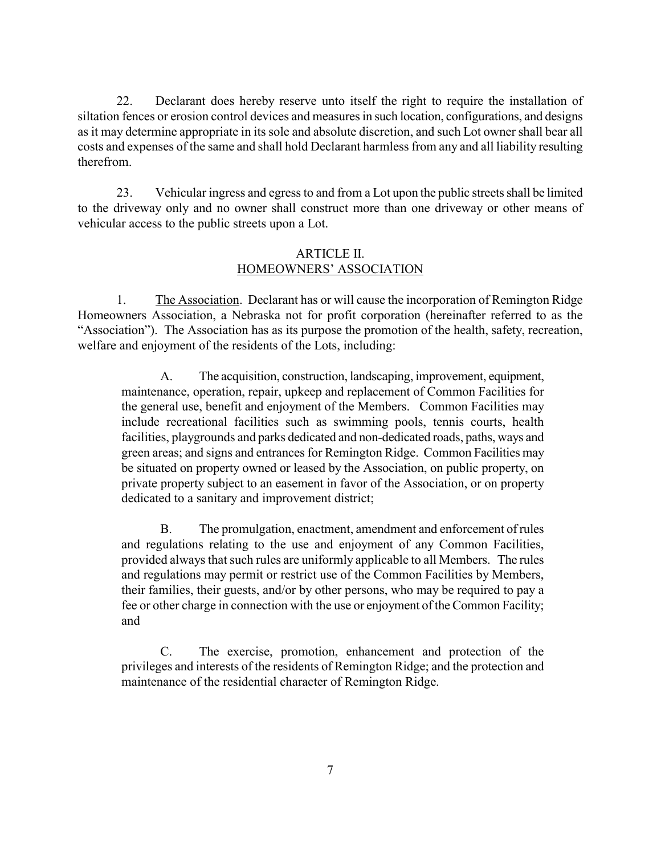22. Declarant does hereby reserve unto itself the right to require the installation of siltation fences or erosion control devices and measures in such location, configurations, and designs as it may determine appropriate in its sole and absolute discretion, and such Lot owner shall bear all costs and expenses of the same and shall hold Declarant harmless from any and all liability resulting therefrom.

23. Vehicular ingress and egress to and from a Lot upon the public streets shall be limited to the driveway only and no owner shall construct more than one driveway or other means of vehicular access to the public streets upon a Lot.

### ARTICLE II. HOMEOWNERS' ASSOCIATION

1. The Association. Declarant has or will cause the incorporation of Remington Ridge Homeowners Association, a Nebraska not for profit corporation (hereinafter referred to as the "Association"). The Association has as its purpose the promotion of the health, safety, recreation, welfare and enjoyment of the residents of the Lots, including:

A. The acquisition, construction, landscaping, improvement, equipment, maintenance, operation, repair, upkeep and replacement of Common Facilities for the general use, benefit and enjoyment of the Members. Common Facilities may include recreational facilities such as swimming pools, tennis courts, health facilities, playgrounds and parks dedicated and non-dedicated roads, paths, ways and green areas; and signs and entrances for Remington Ridge. Common Facilities may be situated on property owned or leased by the Association, on public property, on private property subject to an easement in favor of the Association, or on property dedicated to a sanitary and improvement district;

B. The promulgation, enactment, amendment and enforcement of rules and regulations relating to the use and enjoyment of any Common Facilities, provided always that such rules are uniformly applicable to all Members. The rules and regulations may permit or restrict use of the Common Facilities by Members, their families, their guests, and/or by other persons, who may be required to pay a fee or other charge in connection with the use or enjoyment of the Common Facility; and

C. The exercise, promotion, enhancement and protection of the privileges and interests of the residents of Remington Ridge; and the protection and maintenance of the residential character of Remington Ridge.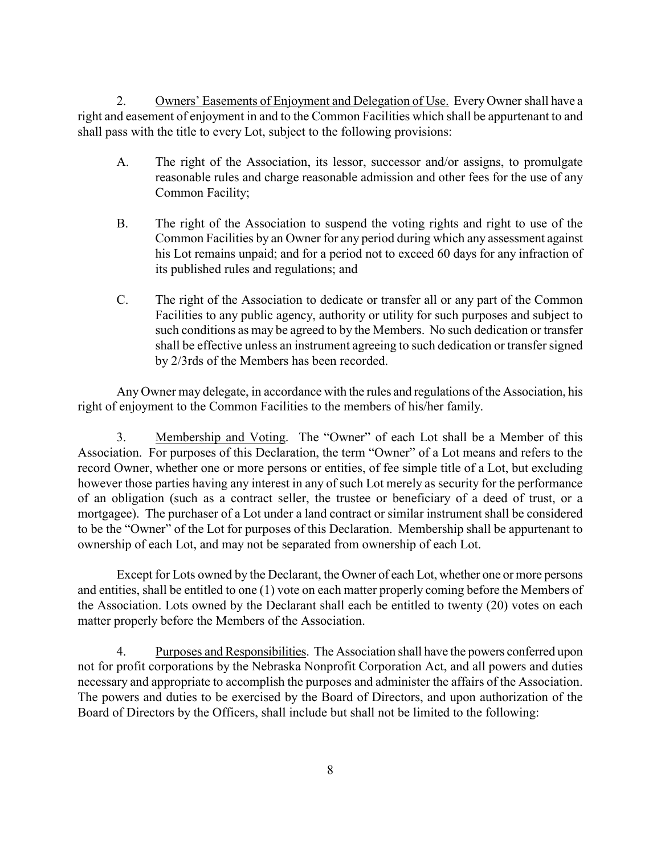2. Owners' Easements of Enjoyment and Delegation of Use. Every Owner shall have a right and easement of enjoyment in and to the Common Facilities which shall be appurtenant to and shall pass with the title to every Lot, subject to the following provisions:

- A. The right of the Association, its lessor, successor and/or assigns, to promulgate reasonable rules and charge reasonable admission and other fees for the use of any Common Facility;
- B. The right of the Association to suspend the voting rights and right to use of the Common Facilities by an Owner for any period during which any assessment against his Lot remains unpaid; and for a period not to exceed 60 days for any infraction of its published rules and regulations; and
- C. The right of the Association to dedicate or transfer all or any part of the Common Facilities to any public agency, authority or utility for such purposes and subject to such conditions as may be agreed to by the Members. No such dedication or transfer shall be effective unless an instrument agreeing to such dedication or transfer signed by 2/3rds of the Members has been recorded.

Any Owner may delegate, in accordance with the rules and regulations of the Association, his right of enjoyment to the Common Facilities to the members of his/her family.

3. Membership and Voting. The "Owner" of each Lot shall be a Member of this Association. For purposes of this Declaration, the term "Owner" of a Lot means and refers to the record Owner, whether one or more persons or entities, of fee simple title of a Lot, but excluding however those parties having any interest in any of such Lot merely as security for the performance of an obligation (such as a contract seller, the trustee or beneficiary of a deed of trust, or a mortgagee). The purchaser of a Lot under a land contract or similar instrument shall be considered to be the "Owner" of the Lot for purposes of this Declaration. Membership shall be appurtenant to ownership of each Lot, and may not be separated from ownership of each Lot.

Except for Lots owned by the Declarant, the Owner of each Lot, whether one or more persons and entities, shall be entitled to one (1) vote on each matter properly coming before the Members of the Association. Lots owned by the Declarant shall each be entitled to twenty (20) votes on each matter properly before the Members of the Association.

4. Purposes and Responsibilities. The Association shall have the powers conferred upon not for profit corporations by the Nebraska Nonprofit Corporation Act, and all powers and duties necessary and appropriate to accomplish the purposes and administer the affairs of the Association. The powers and duties to be exercised by the Board of Directors, and upon authorization of the Board of Directors by the Officers, shall include but shall not be limited to the following: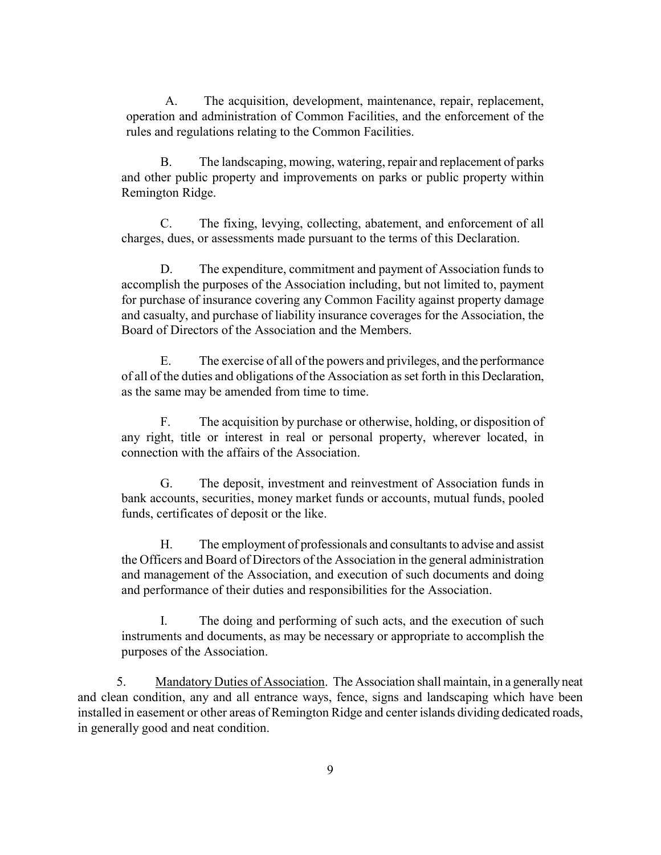A. The acquisition, development, maintenance, repair, replacement, operation and administration of Common Facilities, and the enforcement of the rules and regulations relating to the Common Facilities.

B. The landscaping, mowing, watering, repair and replacement of parks and other public property and improvements on parks or public property within Remington Ridge.

C. The fixing, levying, collecting, abatement, and enforcement of all charges, dues, or assessments made pursuant to the terms of this Declaration.

D. The expenditure, commitment and payment of Association funds to accomplish the purposes of the Association including, but not limited to, payment for purchase of insurance covering any Common Facility against property damage and casualty, and purchase of liability insurance coverages for the Association, the Board of Directors of the Association and the Members.

E. The exercise of all of the powers and privileges, and the performance of all of the duties and obligations of the Association as set forth in this Declaration, as the same may be amended from time to time.

F. The acquisition by purchase or otherwise, holding, or disposition of any right, title or interest in real or personal property, wherever located, in connection with the affairs of the Association.

G. The deposit, investment and reinvestment of Association funds in bank accounts, securities, money market funds or accounts, mutual funds, pooled funds, certificates of deposit or the like.

H. The employment of professionals and consultants to advise and assist the Officers and Board of Directors of the Association in the general administration and management of the Association, and execution of such documents and doing and performance of their duties and responsibilities for the Association.

I. The doing and performing of such acts, and the execution of such instruments and documents, as may be necessary or appropriate to accomplish the purposes of the Association.

5. Mandatory Duties of Association. The Association shall maintain, in a generally neat and clean condition, any and all entrance ways, fence, signs and landscaping which have been installed in easement or other areas of Remington Ridge and center islands dividing dedicated roads, in generally good and neat condition.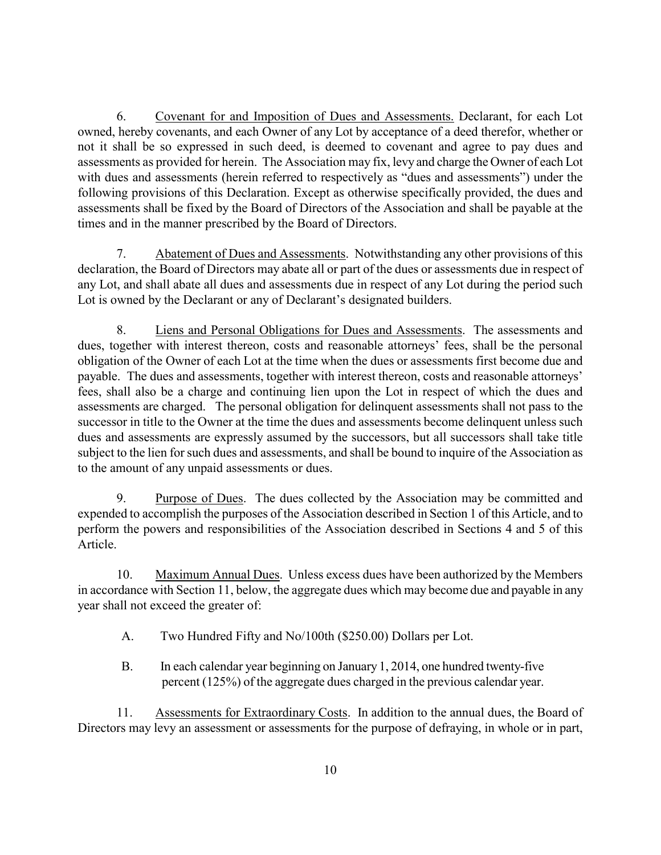6. Covenant for and Imposition of Dues and Assessments. Declarant, for each Lot owned, hereby covenants, and each Owner of any Lot by acceptance of a deed therefor, whether or not it shall be so expressed in such deed, is deemed to covenant and agree to pay dues and assessments as provided for herein. The Association may fix, levy and charge the Owner of each Lot with dues and assessments (herein referred to respectively as "dues and assessments") under the following provisions of this Declaration. Except as otherwise specifically provided, the dues and assessments shall be fixed by the Board of Directors of the Association and shall be payable at the times and in the manner prescribed by the Board of Directors.

7. Abatement of Dues and Assessments. Notwithstanding any other provisions of this declaration, the Board of Directors may abate all or part of the dues or assessments due in respect of any Lot, and shall abate all dues and assessments due in respect of any Lot during the period such Lot is owned by the Declarant or any of Declarant's designated builders.

8. Liens and Personal Obligations for Dues and Assessments. The assessments and dues, together with interest thereon, costs and reasonable attorneys' fees, shall be the personal obligation of the Owner of each Lot at the time when the dues or assessments first become due and payable. The dues and assessments, together with interest thereon, costs and reasonable attorneys' fees, shall also be a charge and continuing lien upon the Lot in respect of which the dues and assessments are charged. The personal obligation for delinquent assessments shall not pass to the successor in title to the Owner at the time the dues and assessments become delinquent unless such dues and assessments are expressly assumed by the successors, but all successors shall take title subject to the lien for such dues and assessments, and shall be bound to inquire of the Association as to the amount of any unpaid assessments or dues.

9. Purpose of Dues. The dues collected by the Association may be committed and expended to accomplish the purposes of the Association described in Section 1 of this Article, and to perform the powers and responsibilities of the Association described in Sections 4 and 5 of this Article.

10. Maximum Annual Dues. Unless excess dues have been authorized by the Members in accordance with Section 11, below, the aggregate dues which may become due and payable in any year shall not exceed the greater of:

- A. Two Hundred Fifty and No/100th (\$250.00) Dollars per Lot.
- B. In each calendar year beginning on January 1, 2014, one hundred twenty-five percent (125%) of the aggregate dues charged in the previous calendar year.

11. Assessments for Extraordinary Costs. In addition to the annual dues, the Board of Directors may levy an assessment or assessments for the purpose of defraying, in whole or in part,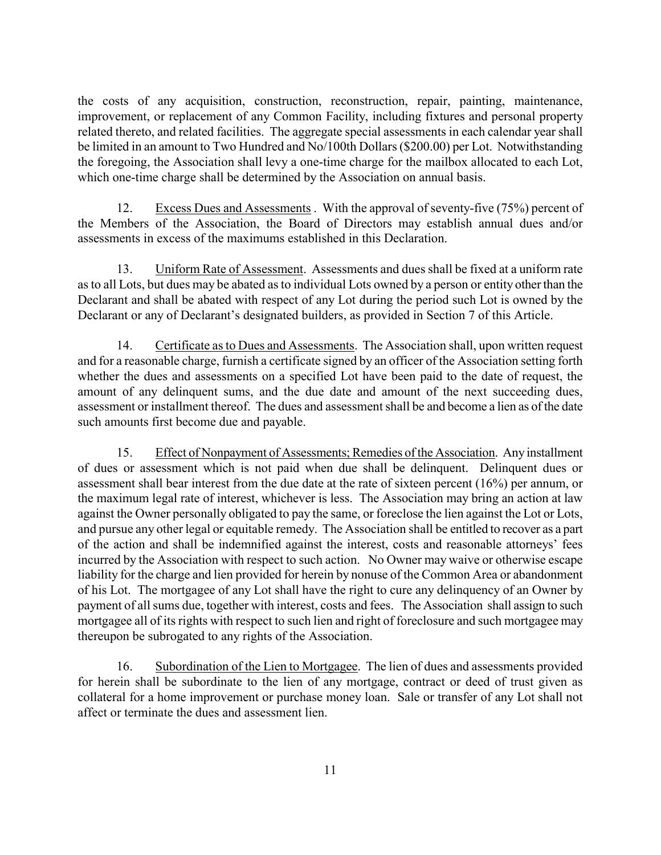the costs of any acquisition, construction, reconstruction, repair, painting, maintenance, improvement, or replacement of any Common Facility, including fixtures and personal property related thereto, and related facilities. The aggregate special assessments in each calendar year shall be limited in an amount to Two Hundred and No/100th Dollars (\$200.00) per Lot. Notwithstanding the foregoing, the Association shall levy a one-time charge for the mailbox allocated to each Lot, which one-time charge shall be determined by the Association on annual basis.

12. Excess Dues and Assessments . With the approval of seventy-five (75%) percent of the Members of the Association, the Board of Directors may establish annual dues and/or assessments in excess of the maximums established in this Declaration.

13. Uniform Rate of Assessment. Assessments and dues shall be fixed at a uniform rate as to all Lots, but dues may be abated as to individual Lots owned by a person or entity other than the Declarant and shall be abated with respect of any Lot during the period such Lot is owned by the Declarant or any of Declarant's designated builders, as provided in Section 7 of this Article.

14. Certificate as to Dues and Assessments. The Association shall, upon written request and for a reasonable charge, furnish a certificate signed by an officer of the Association setting forth whether the dues and assessments on a specified Lot have been paid to the date of request, the amount of any delinquent sums, and the due date and amount of the next succeeding dues, assessment or installment thereof. The dues and assessment shall be and become a lien as of the date such amounts first become due and payable.

15. Effect of Nonpayment of Assessments; Remedies of the Association. Any installment of dues or assessment which is not paid when due shall be delinquent. Delinquent dues or assessment shall bear interest from the due date at the rate of sixteen percent (16%) per annum, or the maximum legal rate of interest, whichever is less. The Association may bring an action at law against the Owner personally obligated to pay the same, or foreclose the lien against the Lot or Lots, and pursue any other legal or equitable remedy. The Association shall be entitled to recover as a part of the action and shall be indemnified against the interest, costs and reasonable attorneys' fees incurred by the Association with respect to such action. No Owner may waive or otherwise escape liability for the charge and lien provided for herein by nonuse of the Common Area or abandonment of his Lot. The mortgagee of any Lot shall have the right to cure any delinquency of an Owner by payment of all sums due, together with interest, costs and fees. The Association shall assign to such mortgagee all of its rights with respect to such lien and right of foreclosure and such mortgagee may thereupon be subrogated to any rights of the Association.

16. Subordination of the Lien to Mortgagee. The lien of dues and assessments provided for herein shall be subordinate to the lien of any mortgage, contract or deed of trust given as collateral for a home improvement or purchase money loan. Sale or transfer of any Lot shall not affect or terminate the dues and assessment lien.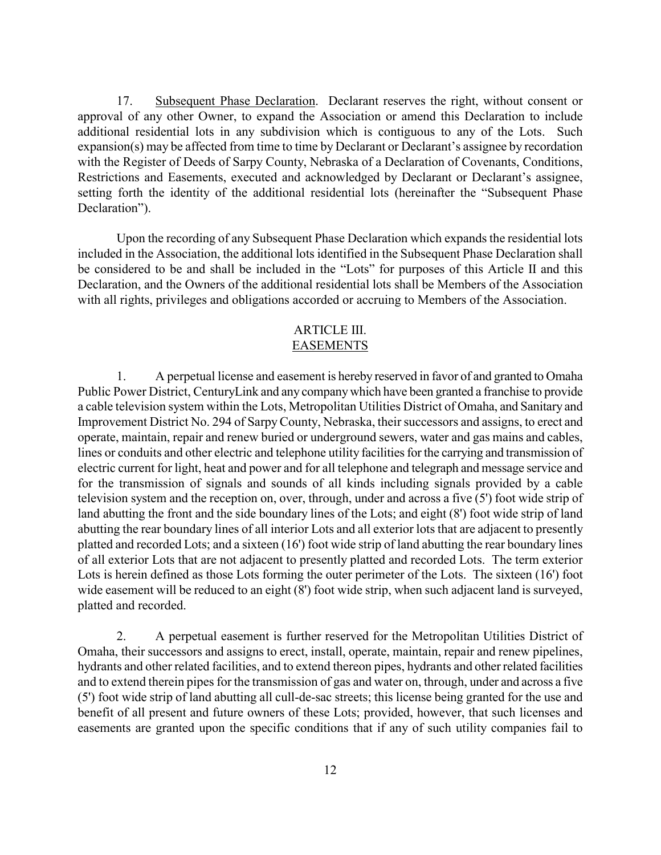17. Subsequent Phase Declaration. Declarant reserves the right, without consent or approval of any other Owner, to expand the Association or amend this Declaration to include additional residential lots in any subdivision which is contiguous to any of the Lots. Such expansion(s) may be affected from time to time by Declarant or Declarant's assignee by recordation with the Register of Deeds of Sarpy County, Nebraska of a Declaration of Covenants, Conditions, Restrictions and Easements, executed and acknowledged by Declarant or Declarant's assignee, setting forth the identity of the additional residential lots (hereinafter the "Subsequent Phase Declaration").

Upon the recording of any Subsequent Phase Declaration which expands the residential lots included in the Association, the additional lots identified in the Subsequent Phase Declaration shall be considered to be and shall be included in the "Lots" for purposes of this Article II and this Declaration, and the Owners of the additional residential lots shall be Members of the Association with all rights, privileges and obligations accorded or accruing to Members of the Association.

# ARTICLE III.

# EASEMENTS

1. A perpetual license and easement is hereby reserved in favor of and granted to Omaha Public Power District, CenturyLink and any company which have been granted a franchise to provide a cable television system within the Lots, Metropolitan Utilities District of Omaha, and Sanitary and Improvement District No. 294 of SarpyCounty, Nebraska, their successors and assigns, to erect and operate, maintain, repair and renew buried or underground sewers, water and gas mains and cables, lines or conduits and other electric and telephone utility facilities for the carrying and transmission of electric current for light, heat and power and for all telephone and telegraph and message service and for the transmission of signals and sounds of all kinds including signals provided by a cable television system and the reception on, over, through, under and across a five (5') foot wide strip of land abutting the front and the side boundary lines of the Lots; and eight (8') foot wide strip of land abutting the rear boundary lines of all interior Lots and all exterior lots that are adjacent to presently platted and recorded Lots; and a sixteen (16') foot wide strip of land abutting the rear boundary lines of all exterior Lots that are not adjacent to presently platted and recorded Lots. The term exterior Lots is herein defined as those Lots forming the outer perimeter of the Lots. The sixteen (16') foot wide easement will be reduced to an eight (8') foot wide strip, when such adjacent land is surveyed, platted and recorded.

2. A perpetual easement is further reserved for the Metropolitan Utilities District of Omaha, their successors and assigns to erect, install, operate, maintain, repair and renew pipelines, hydrants and other related facilities, and to extend thereon pipes, hydrants and other related facilities and to extend therein pipes for the transmission of gas and water on, through, under and across a five (5') foot wide strip of land abutting all cull-de-sac streets; this license being granted for the use and benefit of all present and future owners of these Lots; provided, however, that such licenses and easements are granted upon the specific conditions that if any of such utility companies fail to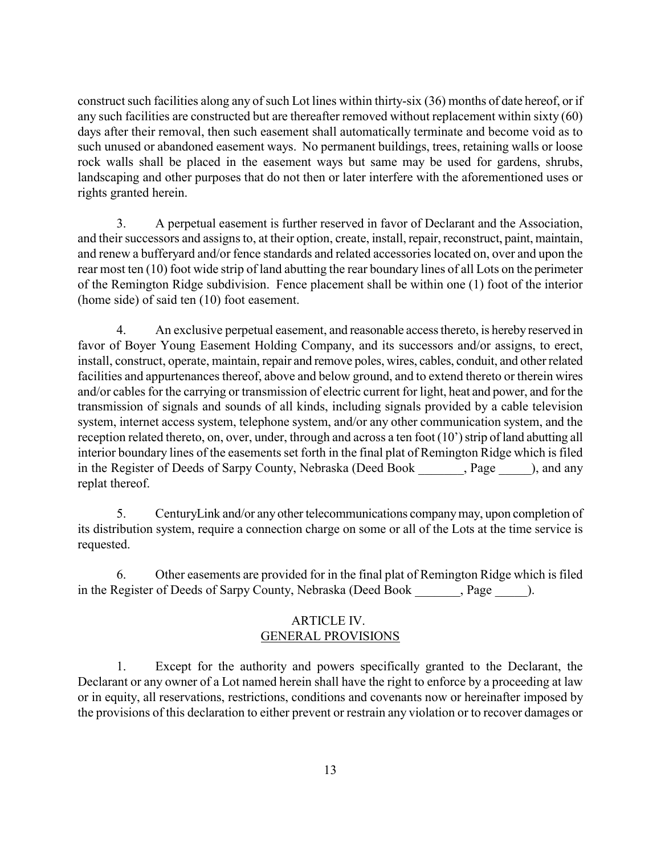construct such facilities along any of such Lot lines within thirty-six (36) months of date hereof, or if any such facilities are constructed but are thereafter removed without replacement within sixty (60) days after their removal, then such easement shall automatically terminate and become void as to such unused or abandoned easement ways. No permanent buildings, trees, retaining walls or loose rock walls shall be placed in the easement ways but same may be used for gardens, shrubs, landscaping and other purposes that do not then or later interfere with the aforementioned uses or rights granted herein.

3. A perpetual easement is further reserved in favor of Declarant and the Association, and their successors and assigns to, at their option, create, install, repair, reconstruct, paint, maintain, and renew a bufferyard and/or fence standards and related accessories located on, over and upon the rear most ten (10) foot wide strip of land abutting the rear boundary lines of all Lots on the perimeter of the Remington Ridge subdivision. Fence placement shall be within one (1) foot of the interior (home side) of said ten (10) foot easement.

4. An exclusive perpetual easement, and reasonable access thereto, is hereby reserved in favor of Boyer Young Easement Holding Company, and its successors and/or assigns, to erect, install, construct, operate, maintain, repair and remove poles, wires, cables, conduit, and other related facilities and appurtenances thereof, above and below ground, and to extend thereto or therein wires and/or cables for the carrying or transmission of electric current for light, heat and power, and for the transmission of signals and sounds of all kinds, including signals provided by a cable television system, internet access system, telephone system, and/or any other communication system, and the reception related thereto, on, over, under, through and across a ten foot (10') strip of land abutting all interior boundary lines of the easements set forth in the final plat of Remington Ridge which is filed in the Register of Deeds of Sarpy County, Nebraska (Deed Book , Page ), and any replat thereof.

5. CenturyLink and/or any other telecommunications company may, upon completion of its distribution system, require a connection charge on some or all of the Lots at the time service is requested.

6. Other easements are provided for in the final plat of Remington Ridge which is filed in the Register of Deeds of Sarpy County, Nebraska (Deed Book \_\_\_\_\_\_\_, Page \_\_\_\_\_).

## ARTICLE IV. GENERAL PROVISIONS

1. Except for the authority and powers specifically granted to the Declarant, the Declarant or any owner of a Lot named herein shall have the right to enforce by a proceeding at law or in equity, all reservations, restrictions, conditions and covenants now or hereinafter imposed by the provisions of this declaration to either prevent or restrain any violation or to recover damages or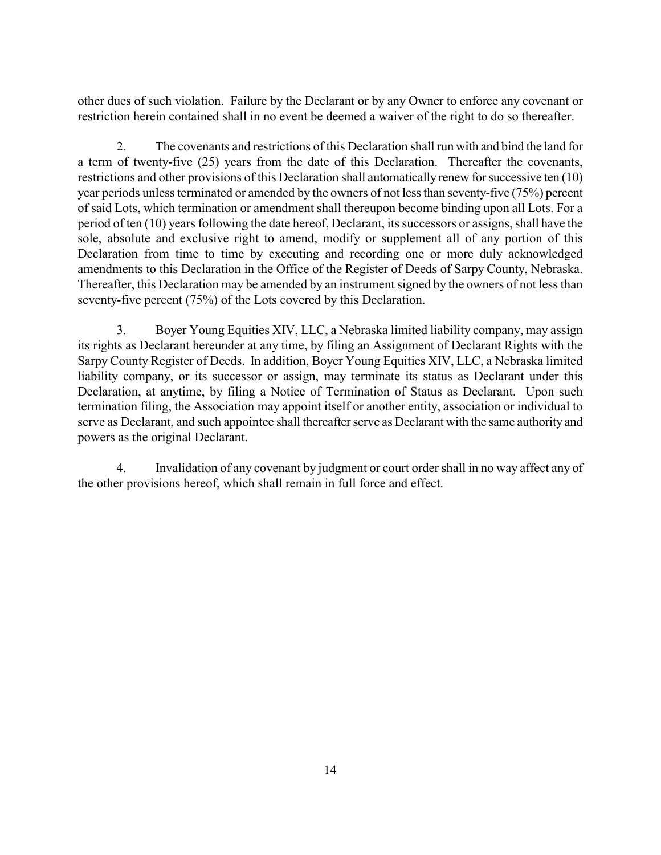other dues of such violation. Failure by the Declarant or by any Owner to enforce any covenant or restriction herein contained shall in no event be deemed a waiver of the right to do so thereafter.

2. The covenants and restrictions of this Declaration shall run with and bind the land for a term of twenty-five (25) years from the date of this Declaration. Thereafter the covenants, restrictions and other provisions of this Declaration shall automatically renew for successive ten (10) year periods unless terminated or amended by the owners of not less than seventy-five (75%) percent of said Lots, which termination or amendment shall thereupon become binding upon all Lots. For a period of ten (10) years following the date hereof, Declarant, its successors or assigns, shall have the sole, absolute and exclusive right to amend, modify or supplement all of any portion of this Declaration from time to time by executing and recording one or more duly acknowledged amendments to this Declaration in the Office of the Register of Deeds of Sarpy County, Nebraska. Thereafter, this Declaration may be amended by an instrument signed by the owners of not less than seventy-five percent (75%) of the Lots covered by this Declaration.

3. Boyer Young Equities XIV, LLC, a Nebraska limited liability company, may assign its rights as Declarant hereunder at any time, by filing an Assignment of Declarant Rights with the Sarpy County Register of Deeds. In addition, Boyer Young Equities XIV, LLC, a Nebraska limited liability company, or its successor or assign, may terminate its status as Declarant under this Declaration, at anytime, by filing a Notice of Termination of Status as Declarant. Upon such termination filing, the Association may appoint itself or another entity, association or individual to serve as Declarant, and such appointee shall thereafter serve as Declarant with the same authority and powers as the original Declarant.

4. Invalidation of any covenant by judgment or court order shall in no way affect any of the other provisions hereof, which shall remain in full force and effect.